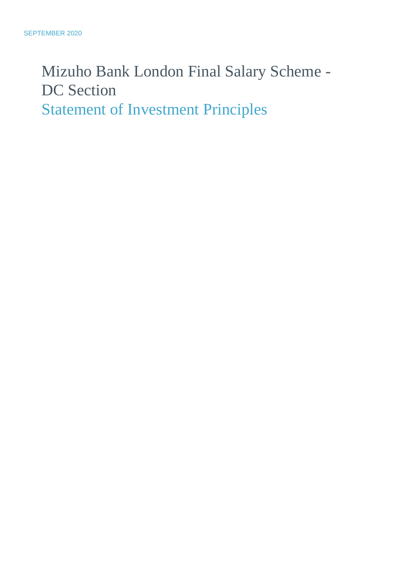# Mizuho Bank London Final Salary Scheme - DC Section Statement of Investment Principles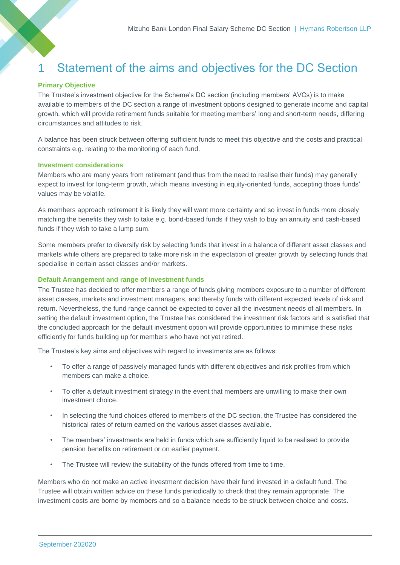# 1 Statement of the aims and objectives for the DC Section

# **Primary Objective**

The Trustee's investment objective for the Scheme's DC section (including members' AVCs) is to make available to members of the DC section a range of investment options designed to generate income and capital growth, which will provide retirement funds suitable for meeting members' long and short-term needs, differing circumstances and attitudes to risk.

A balance has been struck between offering sufficient funds to meet this objective and the costs and practical constraints e.g. relating to the monitoring of each fund.

# **Investment considerations**

Members who are many years from retirement (and thus from the need to realise their funds) may generally expect to invest for long-term growth, which means investing in equity-oriented funds, accepting those funds' values may be volatile.

As members approach retirement it is likely they will want more certainty and so invest in funds more closely matching the benefits they wish to take e.g. bond-based funds if they wish to buy an annuity and cash-based funds if they wish to take a lump sum.

Some members prefer to diversify risk by selecting funds that invest in a balance of different asset classes and markets while others are prepared to take more risk in the expectation of greater growth by selecting funds that specialise in certain asset classes and/or markets.

# **Default Arrangement and range of investment funds**

The Trustee has decided to offer members a range of funds giving members exposure to a number of different asset classes, markets and investment managers, and thereby funds with different expected levels of risk and return. Nevertheless, the fund range cannot be expected to cover all the investment needs of all members. In setting the default investment option, the Trustee has considered the investment risk factors and is satisfied that the concluded approach for the default investment option will provide opportunities to minimise these risks efficiently for funds building up for members who have not yet retired.

The Trustee's key aims and objectives with regard to investments are as follows:

- To offer a range of passively managed funds with different objectives and risk profiles from which members can make a choice.
- To offer a default investment strategy in the event that members are unwilling to make their own investment choice.
- In selecting the fund choices offered to members of the DC section, the Trustee has considered the historical rates of return earned on the various asset classes available.
- The members' investments are held in funds which are sufficiently liquid to be realised to provide pension benefits on retirement or on earlier payment.
- The Trustee will review the suitability of the funds offered from time to time.

Members who do not make an active investment decision have their fund invested in a default fund. The Trustee will obtain written advice on these funds periodically to check that they remain appropriate. The investment costs are borne by members and so a balance needs to be struck between choice and costs.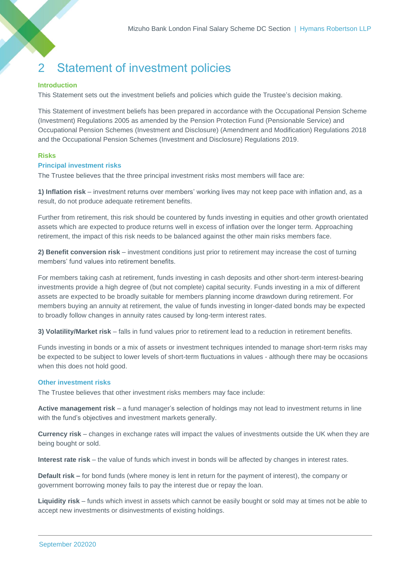# 2 Statement of investment policies

# **Introduction**

This Statement sets out the investment beliefs and policies which guide the Trustee's decision making.

This Statement of investment beliefs has been prepared in accordance with the Occupational Pension Scheme (Investment) Regulations 2005 as amended by the Pension Protection Fund (Pensionable Service) and Occupational Pension Schemes (Investment and Disclosure) (Amendment and Modification) Regulations 2018 and the Occupational Pension Schemes (Investment and Disclosure) Regulations 2019.

# **Risks**

# **Principal investment risks**

The Trustee believes that the three principal investment risks most members will face are:

**1) Inflation risk** – investment returns over members' working lives may not keep pace with inflation and, as a result, do not produce adequate retirement benefits.

Further from retirement, this risk should be countered by funds investing in equities and other growth orientated assets which are expected to produce returns well in excess of inflation over the longer term. Approaching retirement, the impact of this risk needs to be balanced against the other main risks members face.

**2) Benefit conversion risk** – investment conditions just prior to retirement may increase the cost of turning members' fund values into retirement benefits.

For members taking cash at retirement, funds investing in cash deposits and other short-term interest-bearing investments provide a high degree of (but not complete) capital security. Funds investing in a mix of different assets are expected to be broadly suitable for members planning income drawdown during retirement. For members buying an annuity at retirement, the value of funds investing in longer-dated bonds may be expected to broadly follow changes in annuity rates caused by long-term interest rates.

**3) Volatility/Market risk** – falls in fund values prior to retirement lead to a reduction in retirement benefits.

Funds investing in bonds or a mix of assets or investment techniques intended to manage short-term risks may be expected to be subject to lower levels of short-term fluctuations in values - although there may be occasions when this does not hold good.

#### **Other investment risks**

The Trustee believes that other investment risks members may face include:

**Active management risk** – a fund manager's selection of holdings may not lead to investment returns in line with the fund's objectives and investment markets generally.

**Currency risk** – changes in exchange rates will impact the values of investments outside the UK when they are being bought or sold.

**Interest rate risk** – the value of funds which invest in bonds will be affected by changes in interest rates.

**Default risk –** for bond funds (where money is lent in return for the payment of interest), the company or government borrowing money fails to pay the interest due or repay the loan.

**Liquidity risk** – funds which invest in assets which cannot be easily bought or sold may at times not be able to accept new investments or disinvestments of existing holdings.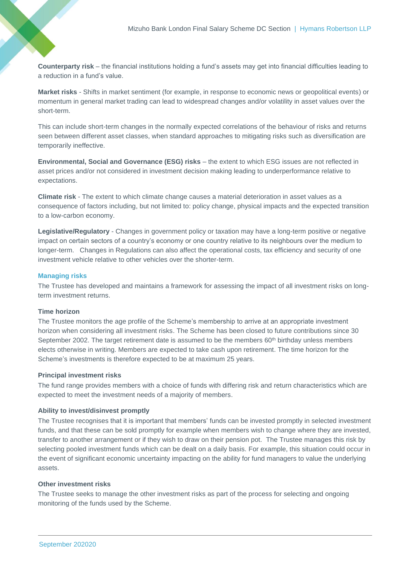**Counterparty risk** – the financial institutions holding a fund's assets may get into financial difficulties leading to a reduction in a fund's value.

**Market risks** - Shifts in market sentiment (for example, in response to economic news or geopolitical events) or momentum in general market trading can lead to widespread changes and/or volatility in asset values over the short-term.

This can include short-term changes in the normally expected correlations of the behaviour of risks and returns seen between different asset classes, when standard approaches to mitigating risks such as diversification are temporarily ineffective.

**Environmental, Social and Governance (ESG) risks** – the extent to which ESG issues are not reflected in asset prices and/or not considered in investment decision making leading to underperformance relative to expectations.

**Climate risk** - The extent to which climate change causes a material deterioration in asset values as a consequence of factors including, but not limited to: policy change, physical impacts and the expected transition to a low-carbon economy.

**Legislative/Regulatory** - Changes in government policy or taxation may have a long-term positive or negative impact on certain sectors of a country's economy or one country relative to its neighbours over the medium to longer-term. Changes in Regulations can also affect the operational costs, tax efficiency and security of one investment vehicle relative to other vehicles over the shorter-term.

# **Managing risks**

The Trustee has developed and maintains a framework for assessing the impact of all investment risks on longterm investment returns.

# **Time horizon**

The Trustee monitors the age profile of the Scheme's membership to arrive at an appropriate investment horizon when considering all investment risks. The Scheme has been closed to future contributions since 30 September 2002. The target retirement date is assumed to be the members 60<sup>th</sup> birthday unless members elects otherwise in writing. Members are expected to take cash upon retirement. The time horizon for the Scheme's investments is therefore expected to be at maximum 25 years.

#### **Principal investment risks**

The fund range provides members with a choice of funds with differing risk and return characteristics which are expected to meet the investment needs of a majority of members.

#### **Ability to invest/disinvest promptly**

The Trustee recognises that it is important that members' funds can be invested promptly in selected investment funds, and that these can be sold promptly for example when members wish to change where they are invested, transfer to another arrangement or if they wish to draw on their pension pot. The Trustee manages this risk by selecting pooled investment funds which can be dealt on a daily basis. For example, this situation could occur in the event of significant economic uncertainty impacting on the ability for fund managers to value the underlying assets.

#### **Other investment risks**

The Trustee seeks to manage the other investment risks as part of the process for selecting and ongoing monitoring of the funds used by the Scheme.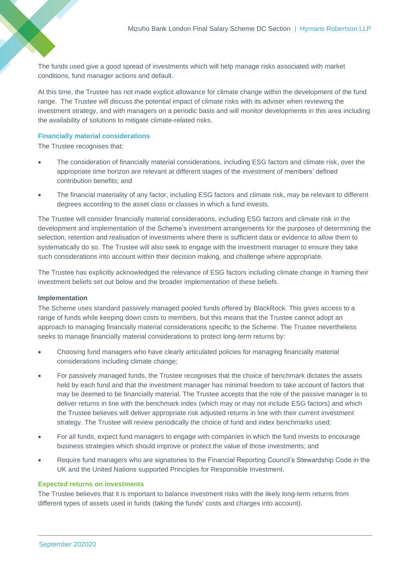The funds used give a good spread of investments which will help manage risks associated with market conditions, fund manager actions and default.

At this time, the Trustee has not made explicit allowance for climate change within the development of the fund range. The Trustee will discuss the potential impact of climate risks with its adviser when reviewing the investment strategy, and with managers on a periodic basis and will monitor developments in this area including the availability of solutions to mitigate climate-related risks.

# **Financially material considerations**

The Trustee recognises that:

- The consideration of financially material considerations, including ESG factors and climate risk, over the appropriate time horizon are relevant at different stages of the investment of members' defined contribution benefits; and
- The financial materiality of any factor, including ESG factors and climate risk, may be relevant to different degrees according to the asset class or classes in which a fund invests.

The Trustee will consider financially material considerations, including ESG factors and climate risk in the development and implementation of the Scheme's investment arrangements for the purposes of determining the selection, retention and realisation of investments where there is sufficient data or evidence to allow them to systematically do so. The Trustee will also seek to engage with the investment manager to ensure they take such considerations into account within their decision making, and challenge where appropriate.

The Trustee has explicitly acknowledged the relevance of ESG factors including climate change in framing their investment beliefs set out below and the broader implementation of these beliefs.

#### **Implementation**

The Scheme uses standard passively managed pooled funds offered by BlackRock. This gives access to a range of funds while keeping down costs to members, but this means that the Trustee cannot adopt an approach to managing financially material considerations specific to the Scheme. The Trustee nevertheless seeks to manage financially material considerations to protect long-term returns by:

- Choosing fund managers who have clearly articulated policies for managing financially material considerations including climate change;
- For passively managed funds, the Trustee recognises that the choice of benchmark dictates the assets held by each fund and that the investment manager has minimal freedom to take account of factors that may be deemed to be financially material. The Trustee accepts that the role of the passive manager is to deliver returns in line with the benchmark index (which may or may not include ESG factors) and which the Trustee believes will deliver appropriate risk adjusted returns in line with their current investment strategy. The Trustee will review periodically the choice of fund and index benchmarks used;
- For all funds, expect fund managers to engage with companies in which the fund invests to encourage business strategies which should improve or protect the value of those investments; and
- Require fund managers who are signatories to the Financial Reporting Council's Stewardship Code in the UK and the United Nations supported Principles for Responsible Investment.

#### **Expected returns on investments**

The Trustee believes that it is important to balance investment risks with the likely long-term returns from different types of assets used in funds (taking the funds' costs and charges into account).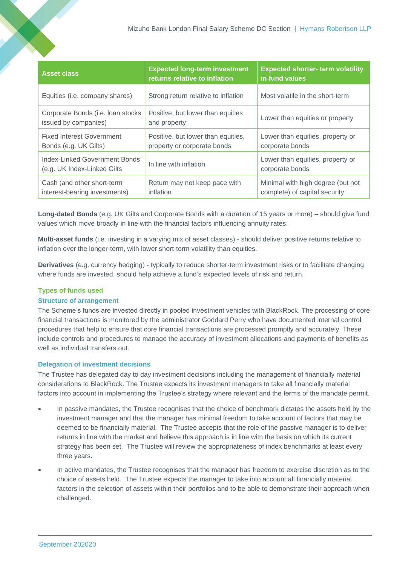| <b>Asset class</b>                                           | <b>Expected long-term investment</b><br>returns relative to inflation | <b>Expected shorter- term volatility</b><br>in fund values         |
|--------------------------------------------------------------|-----------------------------------------------------------------------|--------------------------------------------------------------------|
| Equities (i.e. company shares)                               | Strong return relative to inflation                                   | Most volatile in the short-term                                    |
| Corporate Bonds (i.e. loan stocks<br>issued by companies)    | Positive, but lower than equities<br>and property                     | Lower than equities or property                                    |
| <b>Fixed Interest Government</b><br>Bonds (e.g. UK Gilts)    | Positive, but lower than equities,<br>property or corporate bonds     | Lower than equities, property or<br>corporate bonds                |
| Index-Linked Government Bonds<br>(e.g. UK Index-Linked Gilts | In line with inflation                                                | Lower than equities, property or<br>corporate bonds                |
| Cash (and other short-term<br>interest-bearing investments)  | Return may not keep pace with<br>inflation                            | Minimal with high degree (but not<br>complete) of capital security |

**Long-dated Bonds** (e.g. UK Gilts and Corporate Bonds with a duration of 15 years or more) – should give fund values which move broadly in line with the financial factors influencing annuity rates.

**Multi-asset funds** (i.e. investing in a varying mix of asset classes) - should deliver positive returns relative to inflation over the longer-term, with lower short-term volatility than equities.

**Derivatives** (e.g. currency hedging) - typically to reduce shorter-term investment risks or to facilitate changing where funds are invested, should help achieve a fund's expected levels of risk and return.

# **Types of funds used**

#### **Structure of arrangement**

The Scheme's funds are invested directly in pooled investment vehicles with BlackRock. The processing of core financial transactions is monitored by the administrator Goddard Perry who have documented internal control procedures that help to ensure that core financial transactions are processed promptly and accurately. These include controls and procedures to manage the accuracy of investment allocations and payments of benefits as well as individual transfers out.

# **Delegation of investment decisions**

The Trustee has delegated day to day investment decisions including the management of financially material considerations to BlackRock. The Trustee expects its investment managers to take all financially material factors into account in implementing the Trustee's strategy where relevant and the terms of the mandate permit.

- In passive mandates, the Trustee recognises that the choice of benchmark dictates the assets held by the investment manager and that the manager has minimal freedom to take account of factors that may be deemed to be financially material. The Trustee accepts that the role of the passive manager is to deliver returns in line with the market and believe this approach is in line with the basis on which its current strategy has been set. The Trustee will review the appropriateness of index benchmarks at least every three years.
- In active mandates, the Trustee recognises that the manager has freedom to exercise discretion as to the choice of assets held. The Trustee expects the manager to take into account all financially material factors in the selection of assets within their portfolios and to be able to demonstrate their approach when challenged.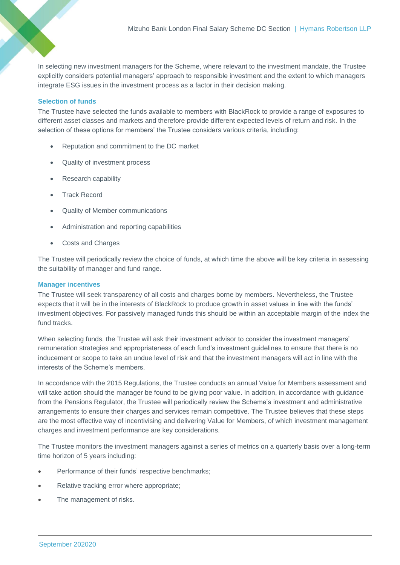In selecting new investment managers for the Scheme, where relevant to the investment mandate, the Trustee explicitly considers potential managers' approach to responsible investment and the extent to which managers integrate ESG issues in the investment process as a factor in their decision making.

# **Selection of funds**

The Trustee have selected the funds available to members with BlackRock to provide a range of exposures to different asset classes and markets and therefore provide different expected levels of return and risk. In the selection of these options for members' the Trustee considers various criteria, including:

- Reputation and commitment to the DC market
- Quality of investment process
- Research capability
- Track Record
- Quality of Member communications
- Administration and reporting capabilities
- Costs and Charges

The Trustee will periodically review the choice of funds, at which time the above will be key criteria in assessing the suitability of manager and fund range.

# **Manager incentives**

The Trustee will seek transparency of all costs and charges borne by members. Nevertheless, the Trustee expects that it will be in the interests of BlackRock to produce growth in asset values in line with the funds' investment objectives. For passively managed funds this should be within an acceptable margin of the index the fund tracks.

When selecting funds, the Trustee will ask their investment advisor to consider the investment managers' remuneration strategies and appropriateness of each fund's investment guidelines to ensure that there is no inducement or scope to take an undue level of risk and that the investment managers will act in line with the interests of the Scheme's members.

In accordance with the 2015 Regulations, the Trustee conducts an annual Value for Members assessment and will take action should the manager be found to be giving poor value. In addition, in accordance with guidance from the Pensions Regulator, the Trustee will periodically review the Scheme's investment and administrative arrangements to ensure their charges and services remain competitive. The Trustee believes that these steps are the most effective way of incentivising and delivering Value for Members, of which investment management charges and investment performance are key considerations.

The Trustee monitors the investment managers against a series of metrics on a quarterly basis over a long-term time horizon of 5 years including:

- Performance of their funds' respective benchmarks;
- Relative tracking error where appropriate;
- The management of risks.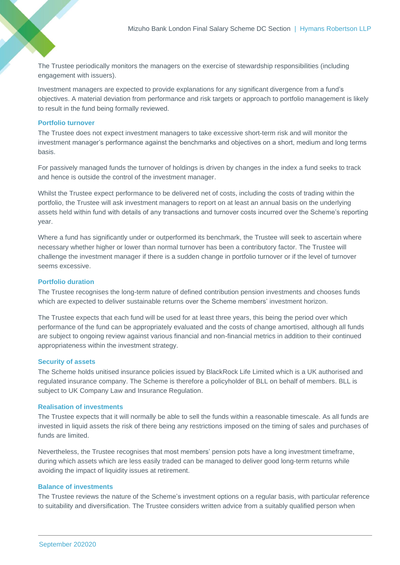The Trustee periodically monitors the managers on the exercise of stewardship responsibilities (including engagement with issuers).

Investment managers are expected to provide explanations for any significant divergence from a fund's objectives. A material deviation from performance and risk targets or approach to portfolio management is likely to result in the fund being formally reviewed.

#### **Portfolio turnover**

The Trustee does not expect investment managers to take excessive short-term risk and will monitor the investment manager's performance against the benchmarks and objectives on a short, medium and long terms basis.

For passively managed funds the turnover of holdings is driven by changes in the index a fund seeks to track and hence is outside the control of the investment manager.

Whilst the Trustee expect performance to be delivered net of costs, including the costs of trading within the portfolio, the Trustee will ask investment managers to report on at least an annual basis on the underlying assets held within fund with details of any transactions and turnover costs incurred over the Scheme's reporting year.

Where a fund has significantly under or outperformed its benchmark, the Trustee will seek to ascertain where necessary whether higher or lower than normal turnover has been a contributory factor. The Trustee will challenge the investment manager if there is a sudden change in portfolio turnover or if the level of turnover seems excessive.

#### **Portfolio duration**

The Trustee recognises the long-term nature of defined contribution pension investments and chooses funds which are expected to deliver sustainable returns over the Scheme members' investment horizon.

The Trustee expects that each fund will be used for at least three years, this being the period over which performance of the fund can be appropriately evaluated and the costs of change amortised, although all funds are subject to ongoing review against various financial and non-financial metrics in addition to their continued appropriateness within the investment strategy.

#### **Security of assets**

The Scheme holds unitised insurance policies issued by BlackRock Life Limited which is a UK authorised and regulated insurance company. The Scheme is therefore a policyholder of BLL on behalf of members. BLL is subject to UK Company Law and Insurance Regulation.

#### **Realisation of investments**

The Trustee expects that it will normally be able to sell the funds within a reasonable timescale. As all funds are invested in liquid assets the risk of there being any restrictions imposed on the timing of sales and purchases of funds are limited.

Nevertheless, the Trustee recognises that most members' pension pots have a long investment timeframe, during which assets which are less easily traded can be managed to deliver good long-term returns while avoiding the impact of liquidity issues at retirement.

#### **Balance of investments**

The Trustee reviews the nature of the Scheme's investment options on a regular basis, with particular reference to suitability and diversification. The Trustee considers written advice from a suitably qualified person when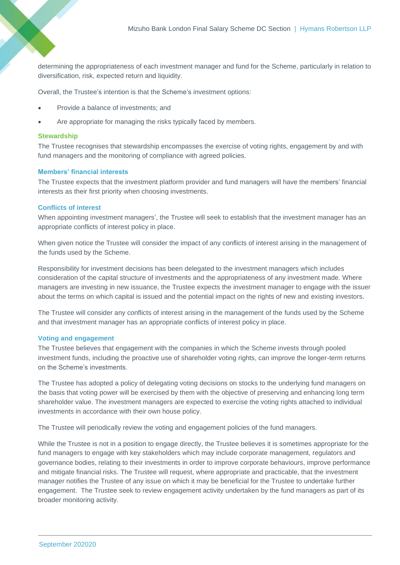determining the appropriateness of each investment manager and fund for the Scheme, particularly in relation to diversification, risk, expected return and liquidity.

Overall, the Trustee's intention is that the Scheme's investment options:

- Provide a balance of investments; and
- Are appropriate for managing the risks typically faced by members.

#### **Stewardship**

The Trustee recognises that stewardship encompasses the exercise of voting rights, engagement by and with fund managers and the monitoring of compliance with agreed policies.

# **Members' financial interests**

The Trustee expects that the investment platform provider and fund managers will have the members' financial interests as their first priority when choosing investments.

# **Conflicts of interest**

When appointing investment managers', the Trustee will seek to establish that the investment manager has an appropriate conflicts of interest policy in place.

When given notice the Trustee will consider the impact of any conflicts of interest arising in the management of the funds used by the Scheme.

Responsibility for investment decisions has been delegated to the investment managers which includes consideration of the capital structure of investments and the appropriateness of any investment made. Where managers are investing in new issuance, the Trustee expects the investment manager to engage with the issuer about the terms on which capital is issued and the potential impact on the rights of new and existing investors.

The Trustee will consider any conflicts of interest arising in the management of the funds used by the Scheme and that investment manager has an appropriate conflicts of interest policy in place.

# **Voting and engagement**

The Trustee believes that engagement with the companies in which the Scheme invests through pooled investment funds, including the proactive use of shareholder voting rights, can improve the longer-term returns on the Scheme's investments.

The Trustee has adopted a policy of delegating voting decisions on stocks to the underlying fund managers on the basis that voting power will be exercised by them with the objective of preserving and enhancing long term shareholder value. The investment managers are expected to exercise the voting rights attached to individual investments in accordance with their own house policy.

The Trustee will periodically review the voting and engagement policies of the fund managers.

While the Trustee is not in a position to engage directly, the Trustee believes it is sometimes appropriate for the fund managers to engage with key stakeholders which may include corporate management, regulators and governance bodies, relating to their investments in order to improve corporate behaviours, improve performance and mitigate financial risks. The Trustee will request, where appropriate and practicable, that the investment manager notifies the Trustee of any issue on which it may be beneficial for the Trustee to undertake further engagement. The Trustee seek to review engagement activity undertaken by the fund managers as part of its broader monitoring activity.